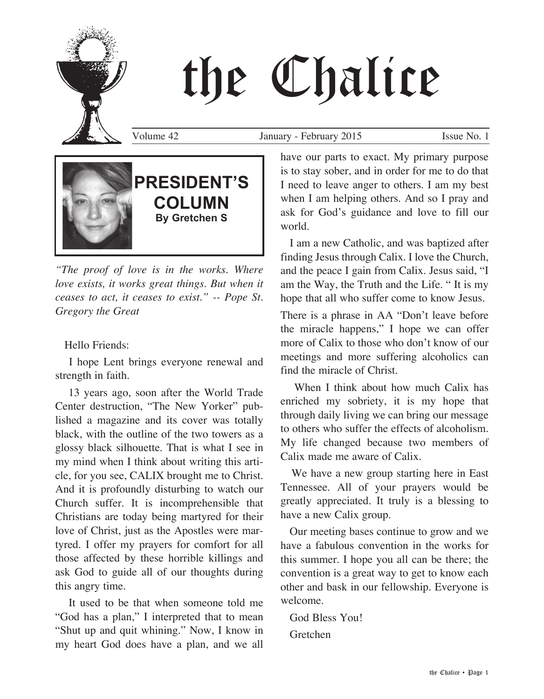

Volume 42 January - February 2015 Issue No. 1



*"The proof of love is in the works. Where love exists, it works great things. But when it ceases to act, it ceases to exist." -- Pope St. Gregory the Great*

Hello Friends:

 I hope Lent brings everyone renewal and strength in faith.

 13 years ago, soon after the World Trade Center destruction, "The New Yorker" published a magazine and its cover was totally black, with the outline of the two towers as a glossy black silhouette. That is what I see in my mind when I think about writing this article, for you see, CALIX brought me to Christ. And it is profoundly disturbing to watch our Church suffer. It is incomprehensible that Christians are today being martyred for their love of Christ, just as the Apostles were martyred. I offer my prayers for comfort for all those affected by these horrible killings and ask God to guide all of our thoughts during this angry time.

 It used to be that when someone told me "God has a plan," I interpreted that to mean "Shut up and quit whining." Now, I know in my heart God does have a plan, and we all have our parts to exact. My primary purpose is to stay sober, and in order for me to do that I need to leave anger to others. I am my best when I am helping others. And so I pray and ask for God's guidance and love to fill our world.

 I am a new Catholic, and was baptized after finding Jesus through Calix. I love the Church, and the peace I gain from Calix. Jesus said, "I am the Way, the Truth and the Life. " It is my hope that all who suffer come to know Jesus.

There is a phrase in AA "Don't leave before the miracle happens," I hope we can offer more of Calix to those who don't know of our meetings and more suffering alcoholics can find the miracle of Christ.

When I think about how much Calix has enriched my sobriety, it is my hope that through daily living we can bring our message to others who suffer the effects of alcoholism. My life changed because two members of Calix made me aware of Calix.

 We have a new group starting here in East Tennessee. All of your prayers would be greatly appreciated. It truly is a blessing to have a new Calix group.

 Our meeting bases continue to grow and we have a fabulous convention in the works for this summer. I hope you all can be there; the convention is a great way to get to know each other and bask in our fellowship. Everyone is welcome.

 God Bless You! Gretchen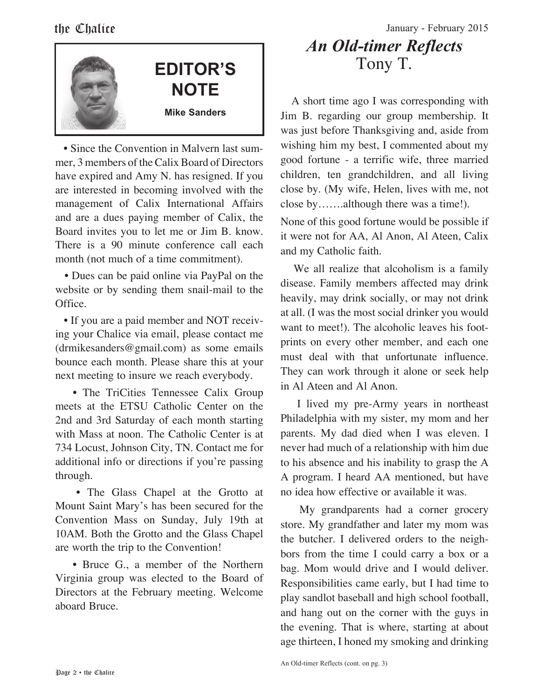

• Since the Convention in Malvern last summer, 3 members of the Calix Board of Directors have expired and Amy N. has resigned. If you are interested in becoming involved with the management of Calix International Affairs and are a dues paying member of Calix, the Board invites you to let me or Jim B. know. There is a 90 minute conference call each month (not much of a time commitment).

 • Dues can be paid online via PayPal on the website or by sending them snail-mail to the Office.

 • If you are a paid member and NOT receiving your Chalice via email, please contact me (drmikesanders@gmail.com) as some emails bounce each month. Please share this at your next meeting to insure we reach everybody.

• The TriCities Tennessee Calix Group meets at the ETSU Catholic Center on the 2nd and 3rd Saturday of each month starting with Mass at noon. The Catholic Center is at 734 Locust, Johnson City, TN. Contact me for additional info or directions if you're passing through.

 • The Glass Chapel at the Grotto at Mount Saint Mary's has been secured for the Convention Mass on Sunday, July 19th at 10AM. Both the Grotto and the Glass Chapel are worth the trip to the Convention!

• Bruce G., a member of the Northern Virginia group was elected to the Board of Directors at the February meeting. Welcome aboard Bruce.

the Chalice January - February 2015

# *An Old-timer Reflects* Tony T.

 A short time ago I was corresponding with Jim B. regarding our group membership. It was just before Thanksgiving and, aside from wishing him my best, I commented about my good fortune - a terrific wife, three married children, ten grandchildren, and all living close by. (My wife, Helen, lives with me, not close by…….although there was a time!).

None of this good fortune would be possible if it were not for AA, Al Anon, Al Ateen, Calix and my Catholic faith.

 We all realize that alcoholism is a family disease. Family members affected may drink heavily, may drink socially, or may not drink at all. (I was the most social drinker you would want to meet!). The alcoholic leaves his footprints on every other member, and each one must deal with that unfortunate influence. They can work through it alone or seek help in Al Ateen and Al Anon.

 I lived my pre-Army years in northeast Philadelphia with my sister, my mom and her parents. My dad died when I was eleven. I never had much of a relationship with him due to his absence and his inability to grasp the A A program. I heard AA mentioned, but have no idea how effective or available it was.

 My grandparents had a corner grocery store. My grandfather and later my mom was the butcher. I delivered orders to the neighbors from the time I could carry a box or a bag. Mom would drive and I would deliver. Responsibilities came early, but I had time to play sandlot baseball and high school football, and hang out on the corner with the guys in the evening. That is where, starting at about age thirteen, I honed my smoking and drinking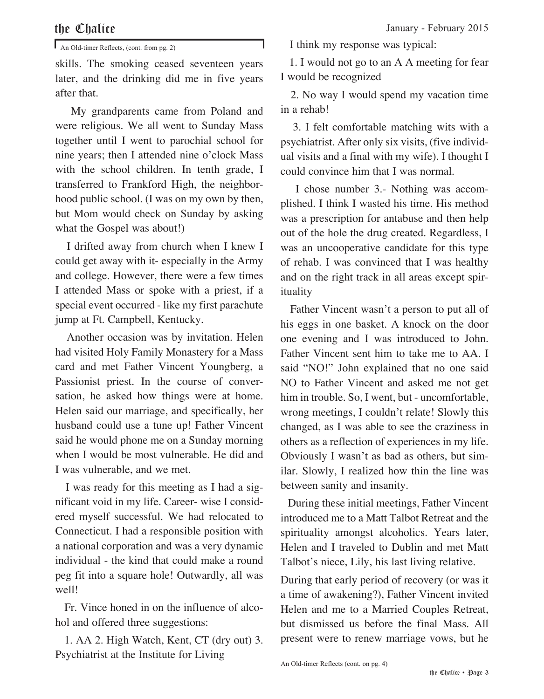An Old-timer Reflects, (cont. from pg. 2)

skills. The smoking ceased seventeen years later, and the drinking did me in five years after that.

 My grandparents came from Poland and were religious. We all went to Sunday Mass together until I went to parochial school for nine years; then I attended nine o'clock Mass with the school children. In tenth grade, I transferred to Frankford High, the neighborhood public school. (I was on my own by then, but Mom would check on Sunday by asking what the Gospel was about!)

 I drifted away from church when I knew I could get away with it- especially in the Army and college. However, there were a few times I attended Mass or spoke with a priest, if a special event occurred - like my first parachute jump at Ft. Campbell, Kentucky.

 Another occasion was by invitation. Helen had visited Holy Family Monastery for a Mass card and met Father Vincent Youngberg, a Passionist priest. In the course of conversation, he asked how things were at home. Helen said our marriage, and specifically, her husband could use a tune up! Father Vincent said he would phone me on a Sunday morning when I would be most vulnerable. He did and I was vulnerable, and we met.

 I was ready for this meeting as I had a significant void in my life. Career- wise I considered myself successful. We had relocated to Connecticut. I had a responsible position with a national corporation and was a very dynamic individual - the kind that could make a round peg fit into a square hole! Outwardly, all was well!

 Fr. Vince honed in on the influence of alcohol and offered three suggestions:

 1. AA 2. High Watch, Kent, CT (dry out) 3. Psychiatrist at the Institute for Living

I think my response was typical:

 1. I would not go to an A A meeting for fear I would be recognized

 2. No way I would spend my vacation time in a rehab!

 3. I felt comfortable matching wits with a psychiatrist. After only six visits, (five individual visits and a final with my wife). I thought I could convince him that I was normal.

 I chose number 3.- Nothing was accomplished. I think I wasted his time. His method was a prescription for antabuse and then help out of the hole the drug created. Regardless, I was an uncooperative candidate for this type of rehab. I was convinced that I was healthy and on the right track in all areas except spirituality

 Father Vincent wasn't a person to put all of his eggs in one basket. A knock on the door one evening and I was introduced to John. Father Vincent sent him to take me to AA. I said "NO!" John explained that no one said NO to Father Vincent and asked me not get him in trouble. So, I went, but - uncomfortable, wrong meetings, I couldn't relate! Slowly this changed, as I was able to see the craziness in others as a reflection of experiences in my life. Obviously I wasn't as bad as others, but similar. Slowly, I realized how thin the line was between sanity and insanity.

 During these initial meetings, Father Vincent introduced me to a Matt Talbot Retreat and the spirituality amongst alcoholics. Years later, Helen and I traveled to Dublin and met Matt Talbot's niece, Lily, his last living relative.

During that early period of recovery (or was it a time of awakening?), Father Vincent invited Helen and me to a Married Couples Retreat, but dismissed us before the final Mass. All present were to renew marriage vows, but he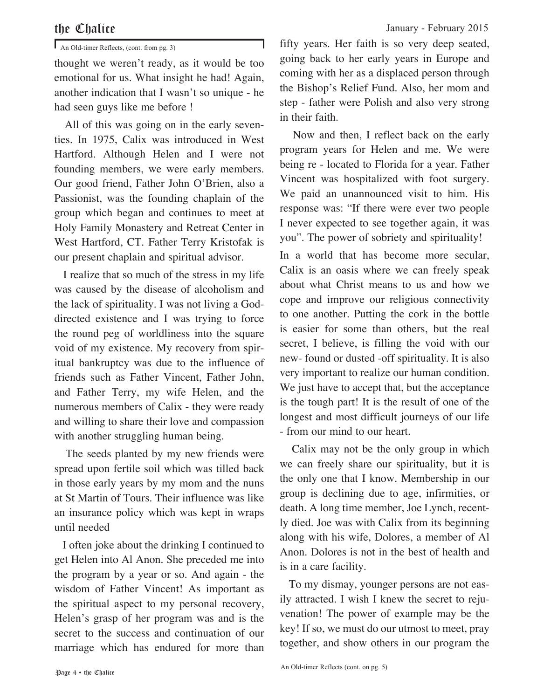An Old-timer Reflects, (cont. from pg. 3)

thought we weren't ready, as it would be too emotional for us. What insight he had! Again, another indication that I wasn't so unique - he had seen guys like me before !

 All of this was going on in the early seventies. In 1975, Calix was introduced in West Hartford. Although Helen and I were not founding members, we were early members. Our good friend, Father John O'Brien, also a Passionist, was the founding chaplain of the group which began and continues to meet at Holy Family Monastery and Retreat Center in West Hartford, CT. Father Terry Kristofak is our present chaplain and spiritual advisor.

 I realize that so much of the stress in my life was caused by the disease of alcoholism and the lack of spirituality. I was not living a Goddirected existence and I was trying to force the round peg of worldliness into the square void of my existence. My recovery from spiritual bankruptcy was due to the influence of friends such as Father Vincent, Father John, and Father Terry, my wife Helen, and the numerous members of Calix - they were ready and willing to share their love and compassion with another struggling human being.

 The seeds planted by my new friends were spread upon fertile soil which was tilled back in those early years by my mom and the nuns at St Martin of Tours. Their influence was like an insurance policy which was kept in wraps until needed

 I often joke about the drinking I continued to get Helen into Al Anon. She preceded me into the program by a year or so. And again - the wisdom of Father Vincent! As important as the spiritual aspect to my personal recovery, Helen's grasp of her program was and is the secret to the success and continuation of our marriage which has endured for more than

fifty years. Her faith is so very deep seated, going back to her early years in Europe and coming with her as a displaced person through the Bishop's Relief Fund. Also, her mom and step - father were Polish and also very strong in their faith.

 Now and then, I reflect back on the early program years for Helen and me. We were being re - located to Florida for a year. Father Vincent was hospitalized with foot surgery. We paid an unannounced visit to him. His response was: "If there were ever two people I never expected to see together again, it was you". The power of sobriety and spirituality!

In a world that has become more secular, Calix is an oasis where we can freely speak about what Christ means to us and how we cope and improve our religious connectivity to one another. Putting the cork in the bottle is easier for some than others, but the real secret, I believe, is filling the void with our new- found or dusted -off spirituality. It is also very important to realize our human condition. We just have to accept that, but the acceptance is the tough part! It is the result of one of the longest and most difficult journeys of our life - from our mind to our heart.

 Calix may not be the only group in which we can freely share our spirituality, but it is the only one that I know. Membership in our group is declining due to age, infirmities, or death. A long time member, Joe Lynch, recently died. Joe was with Calix from its beginning along with his wife, Dolores, a member of Al Anon. Dolores is not in the best of health and is in a care facility.

 To my dismay, younger persons are not easily attracted. I wish I knew the secret to rejuvenation! The power of example may be the key! If so, we must do our utmost to meet, pray together, and show others in our program the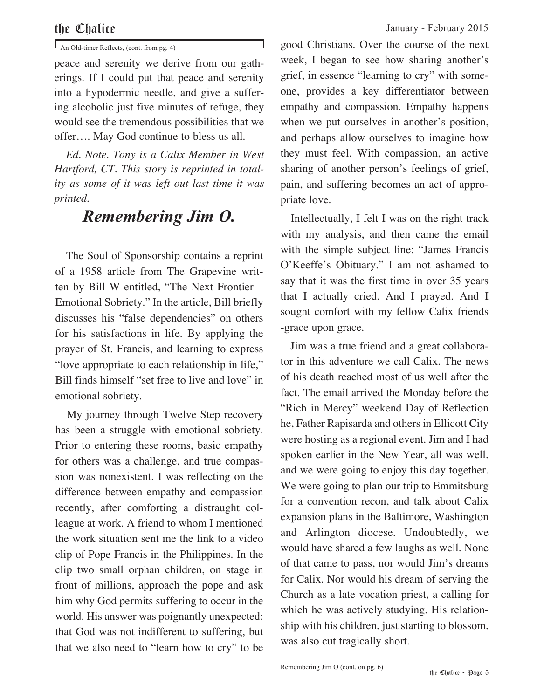An Old-timer Reflects, (cont. from pg. 4)

peace and serenity we derive from our gatherings. If I could put that peace and serenity into a hypodermic needle, and give a suffering alcoholic just five minutes of refuge, they would see the tremendous possibilities that we offer…. May God continue to bless us all.

 *Ed. Note. Tony is a Calix Member in West Hartford, CT. This story is reprinted in totality as some of it was left out last time it was printed.*

# *Remembering Jim O.*

 The Soul of Sponsorship contains a reprint of a 1958 article from The Grapevine written by Bill W entitled, "The Next Frontier – Emotional Sobriety." In the article, Bill briefly discusses his "false dependencies" on others for his satisfactions in life. By applying the prayer of St. Francis, and learning to express "love appropriate to each relationship in life," Bill finds himself "set free to live and love" in emotional sobriety.

 My journey through Twelve Step recovery has been a struggle with emotional sobriety. Prior to entering these rooms, basic empathy for others was a challenge, and true compassion was nonexistent. I was reflecting on the difference between empathy and compassion recently, after comforting a distraught colleague at work. A friend to whom I mentioned the work situation sent me the link to a video clip of Pope Francis in the Philippines. In the clip two small orphan children, on stage in front of millions, approach the pope and ask him why God permits suffering to occur in the world. His answer was poignantly unexpected: that God was not indifferent to suffering, but that we also need to "learn how to cry" to be

good Christians. Over the course of the next week, I began to see how sharing another's grief, in essence "learning to cry" with someone, provides a key differentiator between empathy and compassion. Empathy happens when we put ourselves in another's position, and perhaps allow ourselves to imagine how they must feel. With compassion, an active sharing of another person's feelings of grief, pain, and suffering becomes an act of appropriate love.

 Intellectually, I felt I was on the right track with my analysis, and then came the email with the simple subject line: "James Francis O'Keeffe's Obituary." I am not ashamed to say that it was the first time in over 35 years that I actually cried. And I prayed. And I sought comfort with my fellow Calix friends -grace upon grace.

 Jim was a true friend and a great collaborator in this adventure we call Calix. The news of his death reached most of us well after the fact. The email arrived the Monday before the "Rich in Mercy" weekend Day of Reflection he, Father Rapisarda and others in Ellicott City were hosting as a regional event. Jim and I had spoken earlier in the New Year, all was well, and we were going to enjoy this day together. We were going to plan our trip to Emmitsburg for a convention recon, and talk about Calix expansion plans in the Baltimore, Washington and Arlington diocese. Undoubtedly, we would have shared a few laughs as well. None of that came to pass, nor would Jim's dreams for Calix. Nor would his dream of serving the Church as a late vocation priest, a calling for which he was actively studying. His relationship with his children, just starting to blossom, was also cut tragically short.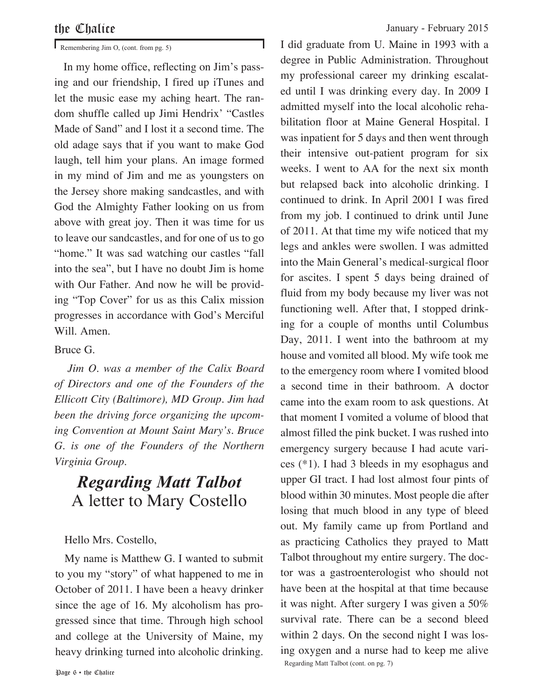Remembering Jim O, (cont. from pg. 5)

 In my home office, reflecting on Jim's passing and our friendship, I fired up iTunes and let the music ease my aching heart. The random shuffle called up Jimi Hendrix' "Castles Made of Sand" and I lost it a second time. The old adage says that if you want to make God laugh, tell him your plans. An image formed in my mind of Jim and me as youngsters on the Jersey shore making sandcastles, and with God the Almighty Father looking on us from above with great joy. Then it was time for us to leave our sandcastles, and for one of us to go "home." It was sad watching our castles "fall into the sea", but I have no doubt Jim is home with Our Father. And now he will be providing "Top Cover" for us as this Calix mission progresses in accordance with God's Merciful Will. Amen.

### Bruce G.

 *Jim O. was a member of the Calix Board of Directors and one of the Founders of the Ellicott City (Baltimore), MD Group. Jim had been the driving force organizing the upcoming Convention at Mount Saint Mary's. Bruce G. is one of the Founders of the Northern Virginia Group.*

## *Regarding Matt Talbot* A letter to Mary Costello

### Hello Mrs. Costello,

 My name is Matthew G. I wanted to submit to you my "story" of what happened to me in October of 2011. I have been a heavy drinker since the age of 16. My alcoholism has progressed since that time. Through high school and college at the University of Maine, my heavy drinking turned into alcoholic drinking.

I did graduate from U. Maine in 1993 with a degree in Public Administration. Throughout my professional career my drinking escalated until I was drinking every day. In 2009 I admitted myself into the local alcoholic rehabilitation floor at Maine General Hospital. I was inpatient for 5 days and then went through their intensive out-patient program for six weeks. I went to AA for the next six month but relapsed back into alcoholic drinking. I continued to drink. In April 2001 I was fired from my job. I continued to drink until June of 2011. At that time my wife noticed that my legs and ankles were swollen. I was admitted into the Main General's medical-surgical floor for ascites. I spent 5 days being drained of fluid from my body because my liver was not functioning well. After that, I stopped drinking for a couple of months until Columbus Day, 2011. I went into the bathroom at my house and vomited all blood. My wife took me to the emergency room where I vomited blood a second time in their bathroom. A doctor came into the exam room to ask questions. At that moment I vomited a volume of blood that almost filled the pink bucket. I was rushed into emergency surgery because I had acute varices (\*1). I had 3 bleeds in my esophagus and upper GI tract. I had lost almost four pints of blood within 30 minutes. Most people die after losing that much blood in any type of bleed out. My family came up from Portland and as practicing Catholics they prayed to Matt Talbot throughout my entire surgery. The doctor was a gastroenterologist who should not have been at the hospital at that time because it was night. After surgery I was given a 50% survival rate. There can be a second bleed within 2 days. On the second night I was losing oxygen and a nurse had to keep me alive Regarding Matt Talbot (cont. on pg. 7)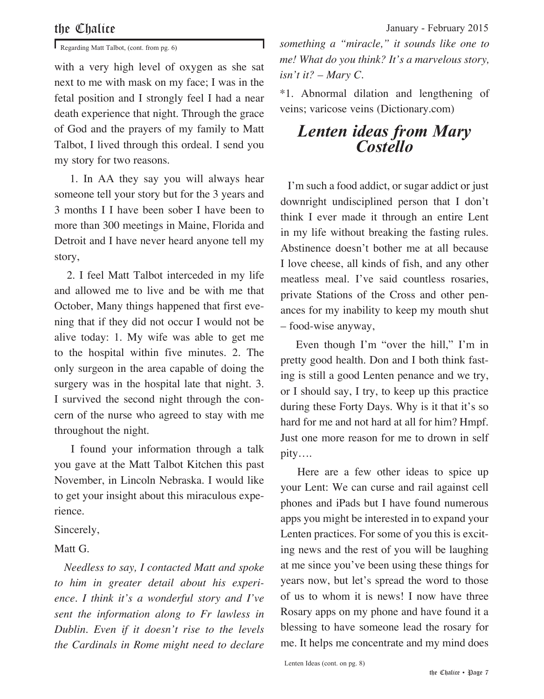Regarding Matt Talbot, (cont. from pg. 6)

with a very high level of oxygen as she sat next to me with mask on my face; I was in the fetal position and I strongly feel I had a near death experience that night. Through the grace of God and the prayers of my family to Matt Talbot, I lived through this ordeal. I send you my story for two reasons.

 1. In AA they say you will always hear someone tell your story but for the 3 years and 3 months I I have been sober I have been to more than 300 meetings in Maine, Florida and Detroit and I have never heard anyone tell my story,

 2. I feel Matt Talbot interceded in my life and allowed me to live and be with me that October, Many things happened that first evening that if they did not occur I would not be alive today: 1. My wife was able to get me to the hospital within five minutes. 2. The only surgeon in the area capable of doing the surgery was in the hospital late that night. 3. I survived the second night through the concern of the nurse who agreed to stay with me throughout the night.

 I found your information through a talk you gave at the Matt Talbot Kitchen this past November, in Lincoln Nebraska. I would like to get your insight about this miraculous experience.

Sincerely,

### Matt G.

 *Needless to say, I contacted Matt and spoke to him in greater detail about his experience. I think it's a wonderful story and I've sent the information along to Fr lawless in Dublin. Even if it doesn't rise to the levels the Cardinals in Rome might need to declare* 

*something a "miracle," it sounds like one to me! What do you think? It's a marvelous story, isn't it? – Mary C.*

\*1. Abnormal dilation and lengthening of veins; varicose veins (Dictionary.com)

# *Lenten ideas from Mary Costello*

 I'm such a food addict, or sugar addict or just downright undisciplined person that I don't think I ever made it through an entire Lent in my life without breaking the fasting rules. Abstinence doesn't bother me at all because I love cheese, all kinds of fish, and any other meatless meal. I've said countless rosaries, private Stations of the Cross and other penances for my inability to keep my mouth shut – food-wise anyway,

 Even though I'm "over the hill," I'm in pretty good health. Don and I both think fasting is still a good Lenten penance and we try, or I should say, I try, to keep up this practice during these Forty Days. Why is it that it's so hard for me and not hard at all for him? Hmpf. Just one more reason for me to drown in self pity….

 Here are a few other ideas to spice up your Lent: We can curse and rail against cell phones and iPads but I have found numerous apps you might be interested in to expand your Lenten practices. For some of you this is exciting news and the rest of you will be laughing at me since you've been using these things for years now, but let's spread the word to those of us to whom it is news! I now have three Rosary apps on my phone and have found it a blessing to have someone lead the rosary for me. It helps me concentrate and my mind does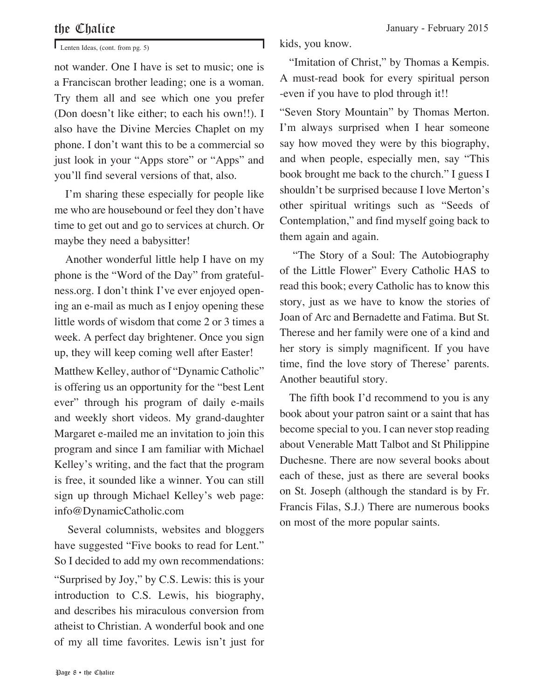### Page 8 • the Chalice

#### Lenten Ideas, (cont. from pg. 5)

not wander. One I have is set to music; one is a Franciscan brother leading; one is a woman. Try them all and see which one you prefer (Don doesn't like either; to each his own!!). I also have the Divine Mercies Chaplet on my phone. I don't want this to be a commercial so just look in your "Apps store" or "Apps" and you'll find several versions of that, also.

 I'm sharing these especially for people like me who are housebound or feel they don't have time to get out and go to services at church. Or maybe they need a babysitter!

 Another wonderful little help I have on my phone is the "Word of the Day" from gratefulness.org. I don't think I've ever enjoyed opening an e-mail as much as I enjoy opening these little words of wisdom that come 2 or 3 times a week. A perfect day brightener. Once you sign up, they will keep coming well after Easter!

Matthew Kelley, author of "Dynamic Catholic" is offering us an opportunity for the "best Lent ever" through his program of daily e-mails and weekly short videos. My grand-daughter Margaret e-mailed me an invitation to join this program and since I am familiar with Michael Kelley's writing, and the fact that the program is free, it sounded like a winner. You can still sign up through Michael Kelley's web page: info@DynamicCatholic.com

 Several columnists, websites and bloggers have suggested "Five books to read for Lent." So I decided to add my own recommendations: "Surprised by Joy," by C.S. Lewis: this is your introduction to C.S. Lewis, his biography, and describes his miraculous conversion from atheist to Christian. A wonderful book and one of my all time favorites. Lewis isn't just for kids, you know.

 "Imitation of Christ," by Thomas a Kempis. A must-read book for every spiritual person -even if you have to plod through it!!

"Seven Story Mountain" by Thomas Merton. I'm always surprised when I hear someone say how moved they were by this biography, and when people, especially men, say "This book brought me back to the church." I guess I shouldn't be surprised because I love Merton's other spiritual writings such as "Seeds of Contemplation," and find myself going back to them again and again.

 "The Story of a Soul: The Autobiography of the Little Flower" Every Catholic HAS to read this book; every Catholic has to know this story, just as we have to know the stories of Joan of Arc and Bernadette and Fatima. But St. Therese and her family were one of a kind and her story is simply magnificent. If you have time, find the love story of Therese' parents. Another beautiful story.

 The fifth book I'd recommend to you is any book about your patron saint or a saint that has become special to you. I can never stop reading about Venerable Matt Talbot and St Philippine Duchesne. There are now several books about each of these, just as there are several books on St. Joseph (although the standard is by Fr. Francis Filas, S.J.) There are numerous books on most of the more popular saints.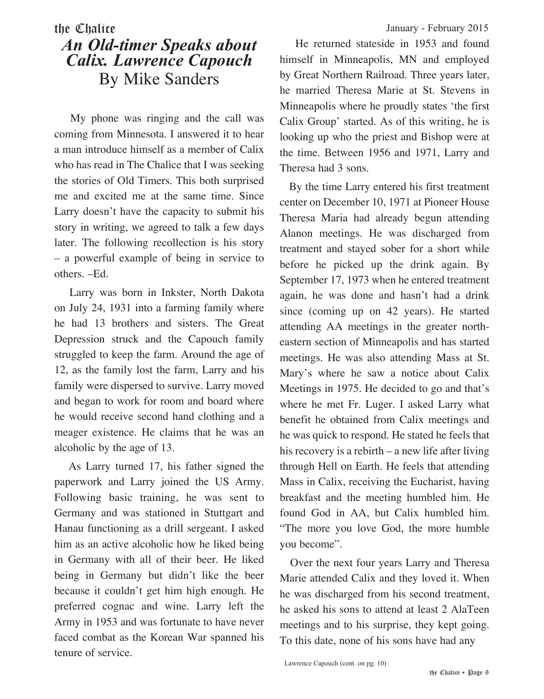# the Chalice January - February 2015 *An Old-timer Speaks about Calix. Lawrence Capouch* By Mike Sanders

 My phone was ringing and the call was coming from Minnesota. I answered it to hear a man introduce himself as a member of Calix who has read in The Chalice that I was seeking the stories of Old Timers. This both surprised me and excited me at the same time. Since Larry doesn't have the capacity to submit his story in writing, we agreed to talk a few days later. The following recollection is his story – a powerful example of being in service to others. –Ed.

 Larry was born in Inkster, North Dakota on July 24, 1931 into a farming family where he had 13 brothers and sisters. The Great Depression struck and the Capouch family struggled to keep the farm. Around the age of 12, as the family lost the farm, Larry and his family were dispersed to survive. Larry moved and began to work for room and board where he would receive second hand clothing and a meager existence. He claims that he was an alcoholic by the age of 13.

 As Larry turned 17, his father signed the paperwork and Larry joined the US Army. Following basic training, he was sent to Germany and was stationed in Stuttgart and Hanau functioning as a drill sergeant. I asked him as an active alcoholic how he liked being in Germany with all of their beer. He liked being in Germany but didn't like the beer because it couldn't get him high enough. He preferred cognac and wine. Larry left the Army in 1953 and was fortunate to have never faced combat as the Korean War spanned his tenure of service.

 He returned stateside in 1953 and found himself in Minneapolis, MN and employed by Great Northern Railroad. Three years later, he married Theresa Marie at St. Stevens in Minneapolis where he proudly states 'the first Calix Group' started. As of this writing, he is looking up who the priest and Bishop were at the time. Between 1956 and 1971, Larry and Theresa had 3 sons.

 By the time Larry entered his first treatment center on December 10, 1971 at Pioneer House Theresa Maria had already begun attending Alanon meetings. He was discharged from treatment and stayed sober for a short while before he picked up the drink again. By September 17, 1973 when he entered treatment again, he was done and hasn't had a drink since (coming up on 42 years). He started attending AA meetings in the greater northeastern section of Minneapolis and has started meetings. He was also attending Mass at St. Mary's where he saw a notice about Calix Meetings in 1975. He decided to go and that's where he met Fr. Luger. I asked Larry what benefit he obtained from Calix meetings and he was quick to respond. He stated he feels that his recovery is a rebirth – a new life after living through Hell on Earth. He feels that attending Mass in Calix, receiving the Eucharist, having breakfast and the meeting humbled him. He found God in AA, but Calix humbled him. "The more you love God, the more humble you become".

 Over the next four years Larry and Theresa Marie attended Calix and they loved it. When he was discharged from his second treatment, he asked his sons to attend at least 2 AlaTeen meetings and to his surprise, they kept going. To this date, none of his sons have had any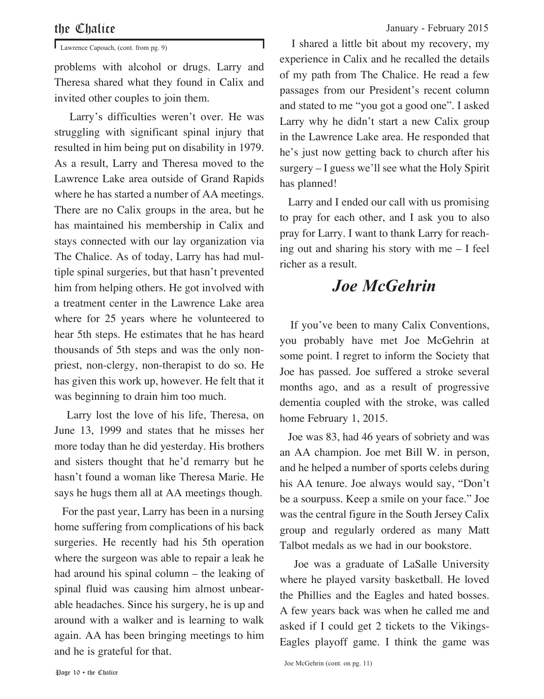problems with alcohol or drugs. Larry and Theresa shared what they found in Calix and invited other couples to join them.

 Larry's difficulties weren't over. He was struggling with significant spinal injury that resulted in him being put on disability in 1979. As a result, Larry and Theresa moved to the Lawrence Lake area outside of Grand Rapids where he has started a number of AA meetings. There are no Calix groups in the area, but he has maintained his membership in Calix and stays connected with our lay organization via The Chalice. As of today, Larry has had multiple spinal surgeries, but that hasn't prevented him from helping others. He got involved with a treatment center in the Lawrence Lake area where for 25 years where he volunteered to hear 5th steps. He estimates that he has heard thousands of 5th steps and was the only nonpriest, non-clergy, non-therapist to do so. He has given this work up, however. He felt that it was beginning to drain him too much.

 Larry lost the love of his life, Theresa, on June 13, 1999 and states that he misses her more today than he did yesterday. His brothers and sisters thought that he'd remarry but he hasn't found a woman like Theresa Marie. He says he hugs them all at AA meetings though.

 For the past year, Larry has been in a nursing home suffering from complications of his back surgeries. He recently had his 5th operation where the surgeon was able to repair a leak he had around his spinal column – the leaking of spinal fluid was causing him almost unbearable headaches. Since his surgery, he is up and around with a walker and is learning to walk again. AA has been bringing meetings to him and he is grateful for that.

Lawrence Capouch, (cont. from pg. 9) I shared a little bit about my recovery, my experience in Calix and he recalled the details of my path from The Chalice. He read a few passages from our President's recent column and stated to me "you got a good one". I asked Larry why he didn't start a new Calix group in the Lawrence Lake area. He responded that he's just now getting back to church after his surgery – I guess we'll see what the Holy Spirit has planned!

> Larry and I ended our call with us promising to pray for each other, and I ask you to also pray for Larry. I want to thank Larry for reaching out and sharing his story with me – I feel richer as a result.

# *Joe McGehrin*

 If you've been to many Calix Conventions, you probably have met Joe McGehrin at some point. I regret to inform the Society that Joe has passed. Joe suffered a stroke several months ago, and as a result of progressive dementia coupled with the stroke, was called home February 1, 2015.

 Joe was 83, had 46 years of sobriety and was an AA champion. Joe met Bill W. in person, and he helped a number of sports celebs during his AA tenure. Joe always would say, "Don't be a sourpuss. Keep a smile on your face." Joe was the central figure in the South Jersey Calix group and regularly ordered as many Matt Talbot medals as we had in our bookstore.

 Joe was a graduate of LaSalle University where he played varsity basketball. He loved the Phillies and the Eagles and hated bosses. A few years back was when he called me and asked if I could get 2 tickets to the Vikings-Eagles playoff game. I think the game was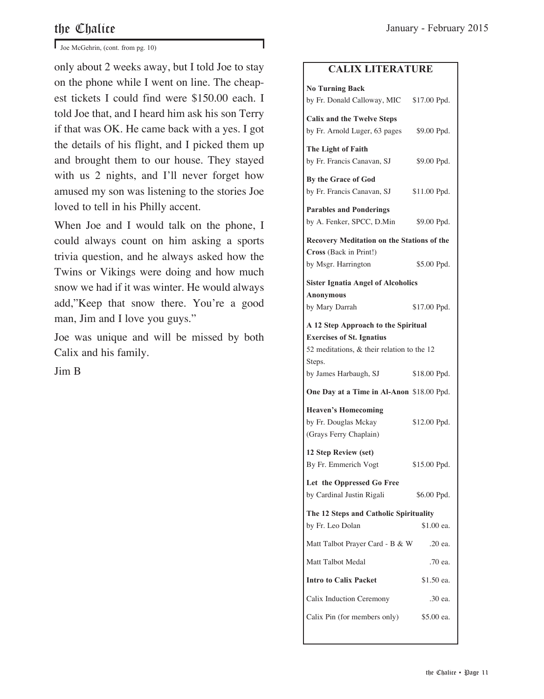$\mathbf{J}$  Joe McGehrin, (cont. from pg. 10)

only about 2 weeks away, but I told Joe to stay on the phone while I went on line. The cheapest tickets I could find were \$150.00 each. I told Joe that, and I heard him ask his son Terry if that was OK. He came back with a yes. I got the details of his flight, and I picked them up and brought them to our house. They stayed with us 2 nights, and I'll never forget how amused my son was listening to the stories Joe loved to tell in his Philly accent.

When Joe and I would talk on the phone, I could always count on him asking a sports trivia question, and he always asked how the Twins or Vikings were doing and how much snow we had if it was winter. He would always add,"Keep that snow there. You're a good man, Jim and I love you guys."

Joe was unique and will be missed by both Calix and his family.

Jim B

#### **CALIX LITERATURE**

| <b>No Turning Back</b><br>by Fr. Donald Calloway, MIC \$17.00 Ppd.                                                    |              |
|-----------------------------------------------------------------------------------------------------------------------|--------------|
| <b>Calix and the Twelve Steps</b><br>by Fr. Arnold Luger, 63 pages                                                    | \$9.00 Ppd.  |
| The Light of Faith<br>by Fr. Francis Canavan, SJ                                                                      | \$9.00 Ppd.  |
| By the Grace of God<br>by Fr. Francis Canavan, SJ                                                                     | \$11.00 Ppd. |
| <b>Parables and Ponderings</b><br>by A. Fenker, SPCC, D.Min                                                           | \$9.00 Ppd.  |
| Recovery Meditation on the Stations of the                                                                            |              |
| Cross (Back in Print!)<br>by Msgr. Harrington                                                                         | \$5.00 Ppd.  |
| <b>Sister Ignatia Angel of Alcoholics</b>                                                                             |              |
| <b>Anonymous</b><br>by Mary Darrah                                                                                    | \$17.00 Ppd. |
| A 12 Step Approach to the Spiritual<br><b>Exercises of St. Ignatius</b><br>52 meditations, & their relation to the 12 |              |
| Steps.<br>by James Harbaugh, SJ                                                                                       | \$18.00 Ppd. |
| One Day at a Time in Al-Anon \$18.00 Ppd.                                                                             |              |
| <b>Heaven's Homecoming</b><br>by Fr. Douglas Mckay                                                                    |              |
| (Grays Ferry Chaplain)                                                                                                | \$12.00 Ppd. |
| 12 Step Review (set)<br>By Fr. Emmerich Vogt                                                                          | \$15.00 Ppd. |
| Let the Oppressed Go Free<br>by Cardinal Justin Rigali                                                                | \$6.00 Ppd.  |
| The 12 Steps and Catholic Spirituality<br>by Fr. Leo Dolan                                                            | \$1.00 ea.   |
| Matt Talbot Prayer Card - B & W                                                                                       | .20 ea.      |
| Matt Talbot Medal                                                                                                     | .70 ea.      |
| <b>Intro to Calix Packet</b>                                                                                          | \$1.50 ea.   |
| Calix Induction Ceremony                                                                                              | .30 ea.      |